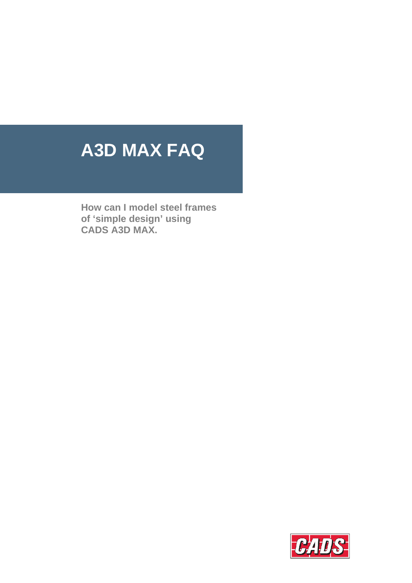# **A3D MAX FAQ**

**How can I model steel frames of 'simple design' using CADS A3D MAX.** 

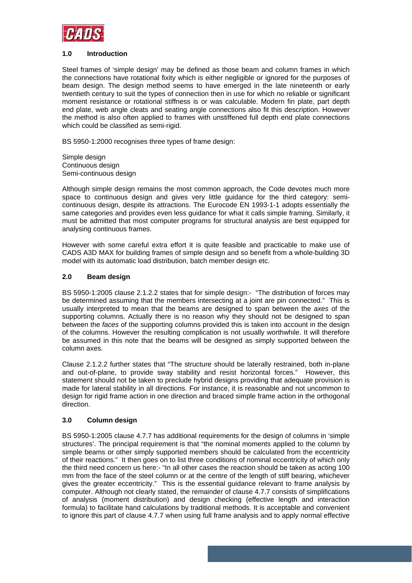

## **1.0 Introduction**

Steel frames of 'simple design' may be defined as those beam and column frames in which the connections have rotational fixity which is either negligible or ignored for the purposes of beam design. The design method seems to have emerged in the late nineteenth or early twentieth century to suit the types of connection then in use for which no reliable or significant moment resistance or rotational stiffness is or was calculable. Modern fin plate, part depth end plate, web angle cleats and seating angle connections also fit this description. However the method is also often applied to frames with unstiffened full depth end plate connections which could be classified as semi-rigid.

BS 5950-1:2000 recognises three types of frame design:

Simple design Continuous design Semi-continuous design

Although simple design remains the most common approach, the Code devotes much more space to continuous design and gives very little guidance for the third category: semicontinuous design, despite its attractions. The Eurocode EN 1993-1-1 adopts essentially the same categories and provides even less guidance for what it calls simple framing. Similarly, it must be admitted that most computer programs for structural analysis are best equipped for analysing continuous frames.

However with some careful extra effort it is quite feasible and practicable to make use of CADS A3D MAX for building frames of simple design and so benefit from a whole-building 3D model with its automatic load distribution, batch member design etc.

## **2.0 Beam design**

BS 5950-1:2005 clause 2.1.2.2 states that for simple design:- "The distribution of forces may be determined assuming that the members intersecting at a joint are pin connected." This is usually interpreted to mean that the beams are designed to span between the *axes* of the supporting columns. Actually there is no reason why they should not be designed to span between the *faces* of the supporting columns provided this is taken into account in the design of the columns. However the resulting complication is not usually worthwhile. It will therefore be assumed in this note that the beams will be designed as simply supported between the column axes.

Clause 2.1.2.2 further states that "The structure should be laterally restrained, both in-plane and out-of-plane, to provide sway stability and resist horizontal forces." However, this statement should not be taken to preclude hybrid designs providing that adequate provision is made for lateral stability in all directions. For instance, it is reasonable and not uncommon to design for rigid frame action in one direction and braced simple frame action in the orthogonal direction.

# **3.0 Column design**

BS 5950-1:2005 clause 4.7.7 has additional requirements for the design of columns in 'simple structures'. The principal requirement is that "the nominal moments applied to the column by simple beams or other simply supported members should be calculated from the eccentricity of their reactions." It then goes on to list three conditions of nominal eccentricity of which only the third need concern us here:- "In all other cases the reaction should be taken as acting 100 mm from the face of the steel column or at the centre of the length of stiff bearing, whichever gives the greater eccentricity." This is the essential guidance relevant to frame analysis by computer. Although not clearly stated, the remainder of clause 4.7.7 consists of simplifications of analysis (moment distribution) and design checking (effective length and interaction formula) to facilitate hand calculations by traditional methods. It is acceptable and convenient to ignore this part of clause 4.7.7 when using full frame analysis and to apply normal effective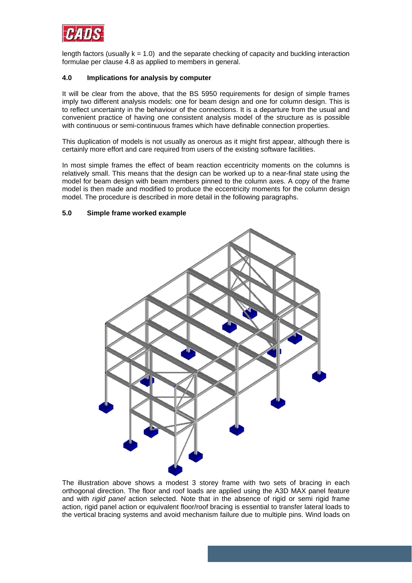

length factors (usually  $k = 1.0$ ) and the separate checking of capacity and buckling interaction formulae per clause 4.8 as applied to members in general.

## **4.0 Implications for analysis by computer**

It will be clear from the above, that the BS 5950 requirements for design of simple frames imply two different analysis models: one for beam design and one for column design. This is to reflect uncertainty in the behaviour of the connections. It is a departure from the usual and convenient practice of having one consistent analysis model of the structure as is possible with continuous or semi-continuous frames which have definable connection properties.

This duplication of models is not usually as onerous as it might first appear, although there is certainly more effort and care required from users of the existing software facilities.

In most simple frames the effect of beam reaction eccentricity moments on the columns is relatively small. This means that the design can be worked up to a near-final state using the model for beam design with beam members pinned to the column axes. A copy of the frame model is then made and modified to produce the eccentricity moments for the column design model. The procedure is described in more detail in the following paragraphs.

#### **5.0 Simple frame worked example**



The illustration above shows a modest 3 storey frame with two sets of bracing in each orthogonal direction. The floor and roof loads are applied using the A3D MAX panel feature and with *rigid panel* action selected. Note that in the absence of rigid or semi rigid frame action, rigid panel action or equivalent floor/roof bracing is essential to transfer lateral loads to the vertical bracing systems and avoid mechanism failure due to multiple pins. Wind loads on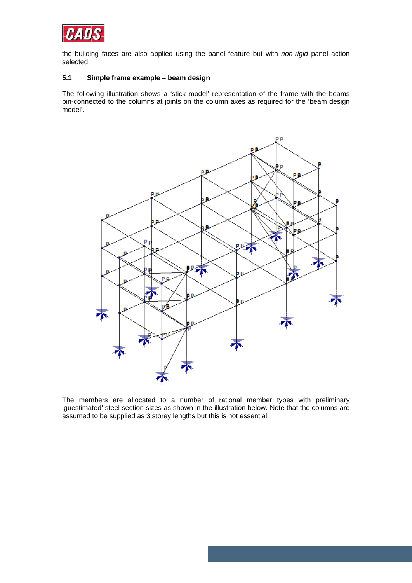

the building faces are also applied using the panel feature but with *non-rigid* panel action selected.

## **5.1 Simple frame example – beam design**

The following illustration shows a 'stick model' representation of the frame with the beams pin-connected to the columns at joints on the column axes as required for the 'beam design model'.



The members are allocated to a number of rational member types with preliminary 'guestimated' steel section sizes as shown in the illustration below. Note that the columns are assumed to be supplied as 3 storey lengths but this is not essential.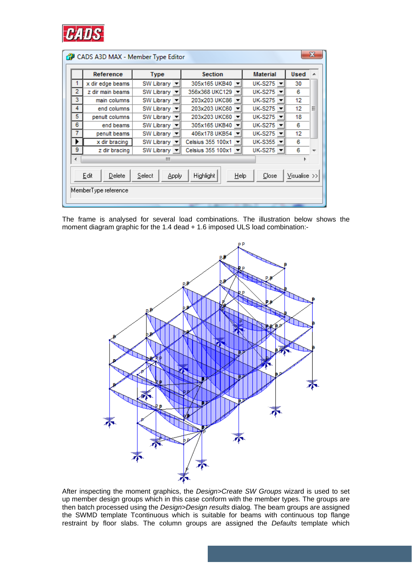

|                | Reference                              | <b>Type</b>            | <b>Section</b>           | <b>Material</b> | <b>Used</b>  |   |
|----------------|----------------------------------------|------------------------|--------------------------|-----------------|--------------|---|
| 1              | x dir edge beams                       | SW Library             | 305x165 UKB40   -        | $UK-S275 -$     | 30           |   |
| $\overline{2}$ | z dir main beams                       | SW Library v           | 356x368 UKC129           | $UK-S275$ -     | 6            |   |
| 3              | main columns                           | SW Library             | 203x203 UKC86   -        | $UK-S275$ -     | 12           |   |
| 4              | end columns                            | SW Library             | 203x203 UKC60 -          | $UK-S275$ -     | 12           | Ξ |
| 5              | penult columns                         | SW Library             | 203x203 UKC60 -          | $UK-S275$ -     | 18           |   |
| 6              | end beams                              | SW Library             | 305x165 UKB40   -        | $UK-S275$ -     | 6            |   |
| 7              | penult beams                           | SW Library             | 406x178 UKB54            | $UK-S275$ -     | 12           |   |
|                | x dir bracing                          | SW Library             | Celsius 355 100x1   -    | $UK-S355$ $-1$  | 6            |   |
| 9              | z dir bracing                          | SW Library             | Celsius 355 100x1   -    | $UK-S275$ -     | 6            |   |
|                |                                        | ш                      |                          |                 | Þ            |   |
|                | Edit<br>Delete<br>MemberType reference | Select<br><b>Apply</b> | <b>Highlight</b><br>Help | Close           | Visualise >> |   |

The frame is analysed for several load combinations. The illustration below shows the moment diagram graphic for the 1.4 dead + 1.6 imposed ULS load combination:-



After inspecting the moment graphics, the *Design>Create SW Groups* wizard is used to set up member design groups which in this case conform with the member types. The groups are then batch processed using the *Design>Design results* dialog*.* The beam groups are assigned the SWMD template Tcontinuous which is suitable for beams with continuous top flange restraint by floor slabs. The column groups are assigned the *Defaults* template which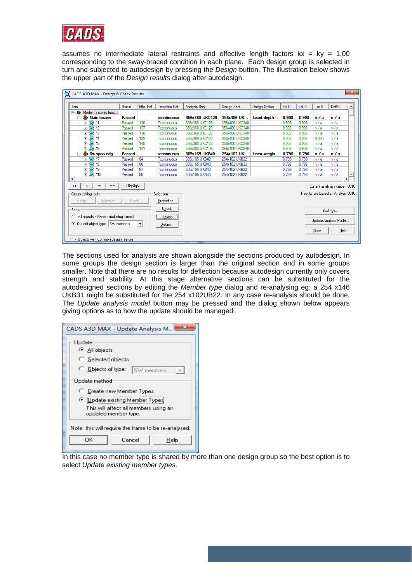

assumes no intermediate lateral restraints and effective length factors  $kx = ky = 1.00$ corresponding to the sway-braced condition in each plane. Each design group is selected in turn and subjected to autodesign by pressing the *Design* button. The illustration below shows the upper part of the *Design results* dialog after autodesign.

| Item                                          | Status    | Mbr. Ref.            | Template Ref. | Analysis Sect. | Design Sect.   | <b>Design Option</b> | Ld C  | Lat B | Tor B | Defl'n                             |   |
|-----------------------------------------------|-----------|----------------------|---------------|----------------|----------------|----------------------|-------|-------|-------|------------------------------------|---|
| $\Box$<br>Model - 3 storey brac<br>G          |           |                      |               |                |                |                      |       |       |       |                                    |   |
| æ.<br><b>Main beams</b><br>⊟                  | Passed    |                      | tcontinuous   | 356x368 UKC129 | 356x406 UK     | Least depth          | 0.908 | 0.908 | n/a   | n/a                                |   |
| $\overline{+}$                                | Passed    | 136                  | Tcontinuous   | 356x368 UKC129 | 356x406 UKC340 |                      | 0.908 | 0.908 | n/a   | n/a                                |   |
| *2<br>Ė                                       | Passed    | 137                  | Tcontinuous   | 356x368 UKC129 | 356x406 UKC340 |                      | 0.908 | 0.908 | n/a   | n/a                                |   |
| 13<br>Ė                                       | Passed    | 138                  | Tcontinuous   | 356x368 UKC129 | 356x406 UKC340 |                      | 0.908 | 0.908 | n/a   | n/a                                |   |
| Ė<br>*4                                       | Passed    | 139                  | Tcontinuous   | 356x368 UKC129 | 356x406 UKC340 |                      | 0.908 | 0.908 | 0.000 | n/a                                |   |
| *5<br>由                                       | Passed    | 140                  | Tcontinuous   | 356x368 UKC129 | 356x406 UKC340 |                      | 0.908 | 0.908 | n/a   | n/a                                |   |
| $\overline{\phantom{a}}$<br>庚                 | Passed    | 141                  | Tcontinuous   | 356x368 UKC129 | 356x406 UKC340 |                      | 0.908 | 0.908 | n/a   | n/a                                |   |
| 4<br>6m span edg<br>Ė                         | Passed    |                      | tcontinuous   | 305x165 UKB40  | 254x102 UK     | <b>Least weight</b>  | 0.796 | 0.796 | n/a   | n/a                                |   |
| 审                                             | Passed    | 64                   | Tcontinuous   | 305x165 UKB40  | 254x102 UKB22  |                      | 0.796 | 0.796 | n/a   | n/a                                |   |
| ٠g<br>Ė                                       | Passed    | 66                   | Tcontinuous   | 305x165 UKB40  | 254x102 UKB22  |                      | 0.796 | 0.796 | n/a   | n/a                                |   |
| ۰,<br>Ė                                       | Passed    | 67                   | Tcontinuous   | 305x165 UKB40  | 254x102 UKB22  |                      | 0.796 | 0.796 | n/a   | n/a                                |   |
| 中宿<br>$+10$<br>$\blacktriangleleft$           | Passed    | 69                   | Tcontinuous   | 305x165 UKB40  | 254x102 UKB22  |                      | 0.796 | 0.796 | n/a   | n/a                                | ٠ |
| $++$<br>٠<br>--<br>-                          | Highlight |                      |               |                |                |                      |       |       |       | Current analysis number: 0010      |   |
| Group editing tools:                          |           |                      | Selection     |                |                |                      |       |       |       | Results are based on Analysis 0010 |   |
| Move to<br>Merge                              | Break     |                      | Properties    |                |                |                      |       |       |       |                                    |   |
| Show                                          |           |                      | Check         |                |                |                      |       |       |       | Settings                           |   |
| All objects / Report fincluding Errors)<br>C. |           |                      | Design        |                |                |                      |       |       |       | Update Analysis Model              |   |
| Current object type SW members<br>G.          |           | $\blacktriangledown$ | Details       |                |                |                      |       |       |       |                                    |   |
|                                               |           |                      |               |                |                |                      |       |       | Close | Help                               |   |

The sections used for analysis are shown alongside the sections produced by autodesign. In some groups the design section is larger than the original section and in some groups smaller. Note that there are no results for deflection because autodesign currently only covers strength and stability. At this stage alternative sections can be substituted for the autodesigned sections by editing the *Member type* dialog and re-analysing eg: a 254 x146 UKB31 might be substituted for the 254 x102UB22. In any case re-analysis should be done. The *Update analysis model* button may be pressed and the dialog shown below appears giving options as to how the update should be managed.

| x<br>CADS A3D MAX - Update Analysis M                         |
|---------------------------------------------------------------|
| Update                                                        |
| C All objects                                                 |
| Selected objects                                              |
| $\heartsuit$ Objects of type:<br>SW members                   |
| Update method                                                 |
| C Create new Member Types                                     |
| <b>C</b> Update existing Member Types                         |
| This will affect all members using an<br>updated member type. |
| Note: this will require the frame to be re-analysed.          |
| ΠK<br>Cancel<br>Help                                          |

In this case no member type is shared by more than one design group so the best option is to select *Update existing member types.*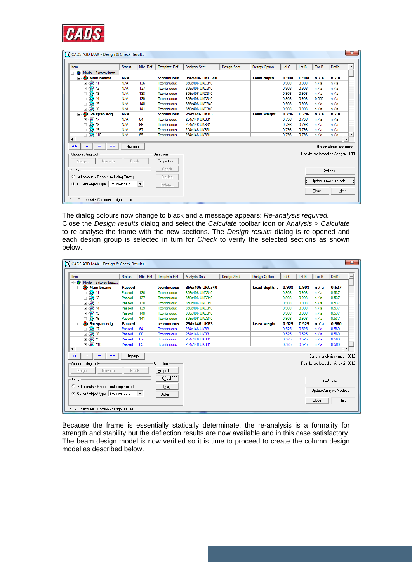

| Item                                                                                      | <b>Status</b> | Mbr. Ref.            | Template Ref.              | Analysis Sect. | Design Sect. | <b>Design Option</b> | Ld C  | Lat B | Tor B | Defl'n                                                      |   |
|-------------------------------------------------------------------------------------------|---------------|----------------------|----------------------------|----------------|--------------|----------------------|-------|-------|-------|-------------------------------------------------------------|---|
| Model - 3 storey brac<br>F.<br>Ð                                                          |               |                      |                            |                |              |                      |       |       |       |                                                             |   |
| æ.<br><b>Main beams</b><br>F                                                              | N/A           |                      | tcontinuous                | 356x406 UKC340 |              | Least depth          | 0.908 | 0.908 | n/a   | n/a                                                         |   |
| $\overline{+}$                                                                            | N/A           | 136                  | Tcontinuous                | 356x406 UKC340 |              |                      | 0.908 | 0.908 | n/a   | n/a                                                         |   |
| -2<br>Ė                                                                                   | N/A           | 137                  | Tcontinuous                | 356x406 UKC340 |              |                      | 0.908 | 0.908 | n/a   | n/a                                                         |   |
| ٠3<br>由                                                                                   | N/A           | 138                  | Tcontinuous                | 356x406 UKC340 |              |                      | 0.908 | 0.908 | n/a   | n/a                                                         |   |
| *4<br>Ė                                                                                   | N/A           | 139                  | Tcontinuous                | 356x406 UKC340 |              |                      | 0.908 | 0.908 | 0.000 | n/a                                                         |   |
| *5<br>Ė                                                                                   | N/A           | 140                  | Tcontinuous                | 356x406 UKC340 |              |                      | 0.908 | 0.908 | n/a   | n/a                                                         |   |
| *6<br>Ė                                                                                   | N/A           | 141                  | Tcontinuous                | 356x406 UKC340 |              |                      | 0.908 | 0.908 | n/a   | n/a                                                         |   |
| 6m span edg<br>Ė<br>÷                                                                     | N/A           |                      | tcontinuous                | 254x146 UKB31  |              | Least weight         | 0.796 | 0.796 | n/a   | n/a                                                         |   |
| .7<br>庚                                                                                   | N/A           | 64                   | Tcontinuous                | 254x146 UKB31  |              |                      | 0.796 | 0.796 | n/a   | n/a                                                         |   |
| *8<br>Ė                                                                                   | N/A           | 66                   | Tcontinuous                | 254x146 UKB31  |              |                      | 0.796 | 0.796 | n/a   | n/a                                                         |   |
| ۰,<br>Ė                                                                                   | N/A           | 67                   | Tcontinuous                | 254x146 UKB31  |              |                      | 0.796 | 0.796 | n/a   | n/a                                                         |   |
| <b>FILLE</b><br>$+10$<br>$\left  \cdot \right $                                           | N/A           | 69                   | Tcontinuous                | 254x146 UKB31  |              |                      | 0.796 | 0.796 | n/a   | n/a                                                         | ٠ |
| $+ +$<br>٠<br>--<br>۰<br>Group editing tools:<br>Move to<br>Merge                         | Highlight     | Break                | Selection<br>Properties    |                |              |                      |       |       |       | Re-analysis required.<br>Results are based on Analysis 0011 |   |
| Show<br>All objects / Report (including Errors)<br>C.<br>C Current object type SW members |               | $\blacktriangledown$ | Check<br>Design<br>Details |                |              |                      |       |       |       | Settings<br>Update Analysis Model                           |   |

The dialog colours now change to black and a message appears: *Re-analysis required.* Close the *Design results* dialog and select the *Calculate* toolbar icon or A*nalysis > Calculate* to re-analyse the frame with the new sections. The *Design results* dialog is re-opened and each design group is selected in turn for *Check* to verify the selected sections as shown below.

| Item                                         | <b>Status</b> | Mbr. Ref.           | Template Ref. | Analysis Sect. | Design Sect. | <b>Design Option</b> | Ld C  | Lat B | Tor B | Defl'n                             |  |
|----------------------------------------------|---------------|---------------------|---------------|----------------|--------------|----------------------|-------|-------|-------|------------------------------------|--|
| Model - 3 storey brac<br>F.<br>Ð             |               |                     |               |                |              |                      |       |       |       |                                    |  |
| <b>Main beams</b><br>æ.<br>Ė                 | Passed        |                     | tcontinuous   | 356x406 UKC340 |              | Least depth          | 0.908 | 0.908 | n/a   | 0.537                              |  |
| -1<br>$+$                                    | Passed        | 136                 | Tcontinuous   | 356x406 UKC340 |              |                      | 0.908 | 0.908 | n/a   | 0.537                              |  |
| *2<br>Ė                                      | Passed        | 137                 | Tcontinuous   | 356x406 UKC340 |              |                      | 0.908 | 0.908 | n/a   | 0.537                              |  |
| *3<br>由                                      | Passed        | 138                 | Tcontinuous   | 356x406 UKC340 |              |                      | 0.908 | 0.908 | n/a   | 0.537                              |  |
| *4<br>Ė                                      | Passed        | 139                 | Tcontinuous   | 356x406 UKC340 |              |                      | 0.908 | 0.908 | n/a   | 0.537                              |  |
| *5<br>Ė                                      | Passed        | 140                 | Tcontinuous   | 356x406 UKC340 |              |                      | 0.908 | 0.908 | n/a   | 0.537                              |  |
| ۰G<br>庙                                      | Passed        | 141                 | Tcontinuous   | 356x406 UKC340 |              |                      | 0.908 | 0.908 | n/a   | 0.537                              |  |
| ÷<br>6m span edg<br>e                        | Passed        |                     | tcontinuous   | 254x146 UKB31  |              | Least weight         | 0.525 | 0.525 | n/a   | 0.560                              |  |
| $\overline{+}$                               | Passed        | 64                  | Tcontinuous   | 254x146 UKB31  |              |                      | 0.525 | 0.525 | n/a   | 0.560                              |  |
| *8<br>Ė                                      | Passed        | 66                  | Tcontinuous   | 254x146 UKB31  |              |                      | 0.525 | 0.525 | n/a   | 0.560                              |  |
| ٠9<br>Ė                                      | Passed        | 67                  | Tcontinuous   | 254x146 UKB31  |              |                      | 0.525 | 0.525 | n/a   | 0.560                              |  |
| 中心<br>$^{\bullet}10$<br>$\blacktriangleleft$ | Passed        | 69                  | Tcontinuous   | 254x146 UKB31  |              |                      | 0.525 | 0.525 | n/a   | 0.560<br>٠                         |  |
| ٠<br>$+ +$<br>۰<br>--                        | Highlight     |                     |               |                |              |                      |       |       |       | Current analysis number: 0012      |  |
| Group editing tools                          |               |                     | Selection     |                |              |                      |       |       |       | Results are based on Analysis 0012 |  |
| Move to<br>Merge                             | Break         |                     | Properties    |                |              |                      |       |       |       |                                    |  |
| Show                                         |               |                     | <b>Check</b>  |                |              |                      |       |       |       | Settings                           |  |
| All objects / Report (including Errors)      |               |                     | Design        |                |              |                      |       |       |       | Update Analysis Model              |  |
| C Current object type SW members             |               | $\vert \cdot \vert$ | Details       |                |              |                      |       |       |       |                                    |  |

Because the frame is essentially statically determinate, the re-analysis is a formality for strength and stability but the deflection results are now available and in this case satisfactory. The beam design model is now verified so it is time to proceed to create the column design model as described below.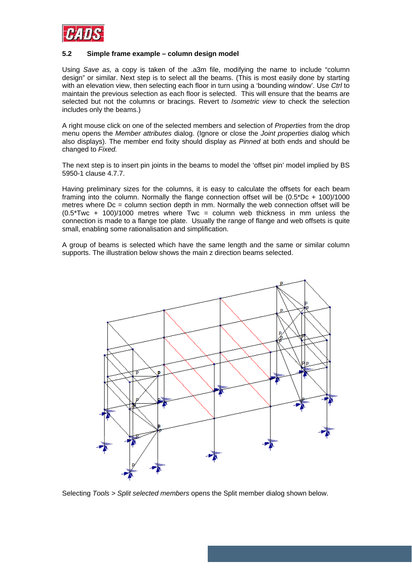

## **5.2 Simple frame example – column design model**

Using *Save as,* a copy is taken of the .a3m file, modifying the name to include "column design" or similar. Next step is to select all the beams. (This is most easily done by starting with an elevation view, then selecting each floor in turn using a 'bounding window'. Use *Ctrl* to maintain the previous selection as each floor is selected. This will ensure that the beams are selected but not the columns or bracings. Revert to *Isometric view* to check the selection includes only the beams.)

A right mouse click on one of the selected members and selection of *Properties* from the drop menu opens the *Member attributes* dialog. (Ignore or close the *Joint properties* dialog which also displays). The member end fixity should display as *Pinned* at both ends and should be changed to *Fixed.*

The next step is to insert pin joints in the beams to model the 'offset pin' model implied by BS 5950-1 clause 4.7.7.

Having preliminary sizes for the columns, it is easy to calculate the offsets for each beam framing into the column. Normally the flange connection offset will be (0.5\*Dc + 100)/1000 metres where  $Dc =$  column section depth in mm. Normally the web connection offset will be  $(0.5*Twc + 100)/1000$  metres where Twc = column web thickness in mm unless the connection is made to a flange toe plate. Usually the range of flange and web offsets is quite small, enabling some rationalisation and simplification.

A group of beams is selected which have the same length and the same or similar column supports. The illustration below shows the main z direction beams selected.



Selecting *Tools > Split selected members* opens the Split member dialog shown below.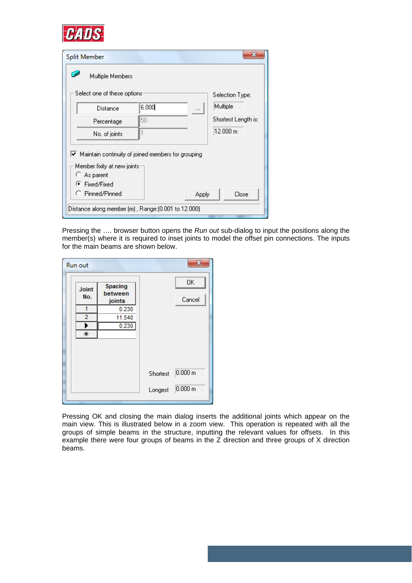

| Split Member                                                                                                                                                |       |          |                     |
|-------------------------------------------------------------------------------------------------------------------------------------------------------------|-------|----------|---------------------|
| œ<br>Multiple Members                                                                                                                                       |       |          |                     |
| Select one of these options                                                                                                                                 |       |          | Selection Type:     |
| Distance                                                                                                                                                    | 6.000 | $\cdots$ | Multiple            |
| Percentage                                                                                                                                                  | 50    |          | Shortest Length is: |
| No. of joints                                                                                                                                               |       |          | 12.000 m            |
| $\blacktriangleright$ Maintain continuity of joined members for grouping<br>Member fixity at new joints:<br>C As parent<br>C Fixed/Fixed<br>C Pinned/Pinned |       | Apply    | Close               |
| [Distance along member (m) , Range: (0.001 to 12.000)                                                                                                       |       |          |                     |

Pressing the …. browser button opens the *Run out* sub-dialog to input the positions along the member(s) where it is required to inset joints to model the offset pin connections. The inputs for the main beams are shown below.

| Run out |              |                              |          | X            |
|---------|--------------|------------------------------|----------|--------------|
|         | Joint<br>No. | Spacing<br>between<br>joints |          | ΟK<br>Cancel |
|         | 2            | 0.230<br>11.540<br>0.230     |          |              |
|         | ∗            |                              |          |              |
|         |              |                              | Shortest | 0.000 m      |
|         |              |                              | Longest  | 0.000 m      |
|         |              |                              |          |              |

Pressing OK and closing the main dialog inserts the additional joints which appear on the main view. This is illustrated below in a zoom view. This operation is repeated with all the groups of simple beams in the structure, inputting the relevant values for offsets. In this example there were four groups of beams in the Z direction and three groups of X direction beams.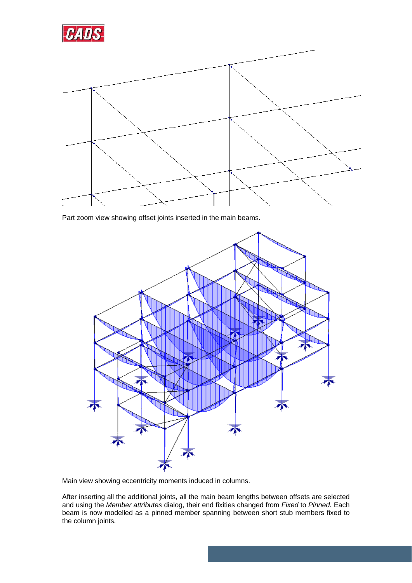



Part zoom view showing offset joints inserted in the main beams.



Main view showing eccentricity moments induced in columns.

After inserting all the additional joints, all the main beam lengths between offsets are selected and using the *Member attributes* dialog, their end fixities changed from *Fixed* to *Pinned.* Each beam is now modelled as a pinned member spanning between short stub members fixed to the column joints.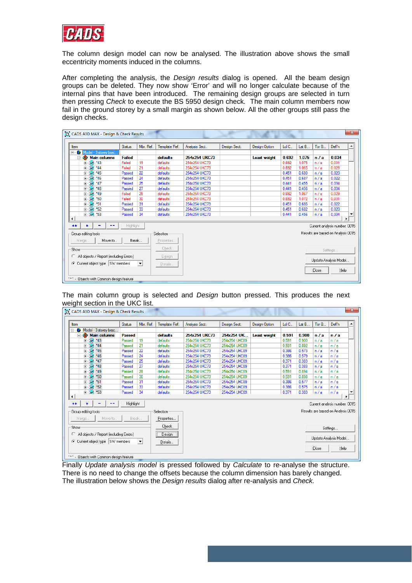

The column design model can now be analysed. The illustration above shows the small eccentricity moments induced in the columns.

After completing the analysis, the *Design results* dialog is opened. All the beam design groups can be deleted. They now show 'Error' and will no longer calculate because of the internal pins that have been introduced. The remaining design groups are selected in turn then pressing *Check* to execute the BS 5950 design check*.* The main column members now fail in the ground storey by a small margin as shown below. All the other groups still pass the design checks.

| [B] CADS A3D MAX - Design & Check Results            |               |                      |               |                |              |                      |       |       |       |                                    | $\mathbf{x}$     |
|------------------------------------------------------|---------------|----------------------|---------------|----------------|--------------|----------------------|-------|-------|-------|------------------------------------|------------------|
| Item                                                 | <b>Status</b> | Mbr. Ref.            | Template Ref. | Analysis Sect. | Design Sect. | <b>Design Option</b> | Ld C  | Lat B | Tor B | Defl'n                             | $\blacktriangle$ |
| Model - 3 storey brac<br>⊟∽€                         |               |                      |               |                |              |                      |       |       |       |                                    |                  |
| <b>Main columns</b><br>÷<br>Ėŀ                       | Failed        |                      | defaults      | 254x254 UKC73  |              | Least weight         | 0.692 | 1.075 | n/a   | 0.034                              |                  |
| $*43$<br>$\overline{+}$                              | Failed        | 19                   | defaults      | 254x254 UKC73  |              |                      | 0.692 | 1.075 | n/a   | 0.031                              |                  |
| 44<br>Ė                                              | Failed        | 21                   | defaults      | 254x254 UKC73  |              |                      | 0.692 | 1.065 | n/a   | 0.028                              |                  |
| $*45$<br>Ė                                           | Passed        | 22                   | defaults      | 254x254 UKC73  |              |                      | 0.451 | 0.680 | n/a   | 0.020                              |                  |
| $*46$<br>Ė                                           | Passed        | 24                   | defaults      | 254x254 UKC73  |              |                      | 0.451 | 0.687 | n/a   | 0.022                              |                  |
| 由<br>47                                              | Passed        | 25                   | defaults      | 254x254 UKC73  |              |                      | 0.441 | 0.455 | n/a   | 0.034                              |                  |
| 由<br>$*48$                                           | Passed        | 27                   | defaults      | 254x254 UKC73  |              |                      | 0.441 | 0.456 | n/a   | 0.034                              |                  |
| Ė<br>$*49$                                           | Failed        | 28                   | defaults      | 254x254 UKC73  |              |                      | 0.692 | 1.067 | n/a   | 0.029                              |                  |
| 50<br>Ė                                              | Failed        | 30                   | defaults      | 254x254 UKC73  |              |                      | 0.692 | 1.072 | n/a   | 0.031                              |                  |
| *51<br>Ė                                             | Passed        | 31                   | defaults      | 254x254 UKC73  |              |                      | 0.451 | 0.685 | n/a   | 0.022                              |                  |
| *52<br>Ė                                             | Passed        | 33                   | defaults      | 254x254 UKC73  |              |                      | 0.451 | 0.682 | n/a   | 0.020                              |                  |
| Ėŀ.<br>讆<br>*53                                      | Passed        | 34                   | defaults      | 254x254 UKC73  |              |                      | 0.441 | 0.456 | n/a   | 0.034                              | ۰                |
| $\blacktriangleleft$                                 |               |                      |               |                |              |                      |       |       |       | ٠                                  |                  |
| $++$<br>٠<br>--                                      | Highlight     |                      |               |                |              |                      |       |       |       | Current analysis number: 0015      |                  |
| Group editing tools-                                 |               |                      | Selection-    |                |              |                      |       |       |       | Results are based on Analysis 0015 |                  |
| Move to<br>Merge                                     |               | Break                | Properties    |                |              |                      |       |       |       |                                    |                  |
| Show                                                 |               |                      | Check         |                |              |                      |       |       |       | Settings                           |                  |
| All objects / Report (including Errors)<br>o         |               |                      | Design        |                |              |                      |       |       |       |                                    |                  |
| C Current object type SW members                     |               | $\blacktriangledown$ | Details       |                |              |                      |       |       |       | Update Analysis Model              |                  |
|                                                      |               |                      |               |                |              |                      |       |       | Close | Help                               |                  |
| $1 \times 1$<br>- Objects with Common design feature |               |                      |               |                |              |                      |       |       |       |                                    |                  |

The main column group is selected and *Design* button pressed. This produces the next weight section in the UKC list.

| Item                                         | <b>Status</b> | Mbr. Ref.                | Template Ref. | Analysis Sect. | Design Sect.  | <b>Design Option</b> | Ld C  | Lat B | Tor B | Defl'n                             |                       |
|----------------------------------------------|---------------|--------------------------|---------------|----------------|---------------|----------------------|-------|-------|-------|------------------------------------|-----------------------|
| Model - 3 storey brac<br>$\Box$<br>G         |               |                          |               |                |               |                      |       |       |       |                                    |                       |
| <b>S</b> Main columns<br>Ėŀ                  | Passed        |                          | defaults      | 254x254 UKC73  | 254x254 UK    | Least weight         | 0.591 | 0.900 | n/a   | n/a                                |                       |
| $*43$<br>W.<br>$\left  + \right $            | Passed        | 19                       | defaults      | 254x254 UKC73  | 254x254 UKC89 |                      | 0.591 | 0.900 | n/a   | n/a                                |                       |
| 44<br>Ė                                      | Passed        | 21                       | defaults      | 254x254 UKC73  | 254x254 UKC89 |                      | 0.591 | 0.892 | n/a   | n/a                                |                       |
| $*45$<br>Ė                                   | Passed        | 22                       | defaults      | 254x254 UKC73  | 254x254 UKC89 |                      | 0.386 | 0.573 | n/a   | n/a                                |                       |
| 46<br>÷                                      | Passed        | 24                       | defaults      | 254x254 UKC73  | 254x254 UKC89 |                      | 0.386 | 0.579 | n/a   | n/a                                |                       |
| 47<br>由                                      | Passed        | 25                       | defaults      | 254x254 UKC73  | 254x254 UKC89 |                      | 0.371 | 0.383 | n/a   | n/a                                |                       |
| $*48$<br>Ė                                   | Passed        | 27                       | defaults      | 254x254 UKC73  | 254x254 UKC89 |                      | 0.371 | 0.383 | n/a   | n/a                                |                       |
| Ė<br>$*49$                                   | Passed        | 28                       | defaults      | 254x254 UKC73  | 254x254 UKC89 |                      | 0.591 | 0.894 | n/a   | n/a                                |                       |
| 50<br>Ė                                      | Passed        | 30                       | defaults      | 254x254 UKC73  | 254x254 UKC89 |                      | 0.591 | 0.898 | n/a   | n/a                                |                       |
| 151<br>Ė                                     | Passed        | 31                       | defaults      | 254x254 UKC73  | 254x254 UKC89 |                      | 0.386 | 0.577 | n/a   | n/a                                |                       |
| *52<br>Ė                                     | Passed        | 33                       | defaults      | 254x254 UKC73  | 254x254 UKC89 |                      | 0.386 | 0.575 | n/a   | n/a                                |                       |
| *53<br>中学                                    | Passed        | 34                       | defaults      | 254x254 UKC73  | 254x254 UKC89 |                      | 0.371 | 0.383 | n/a   | n/a                                |                       |
| $\blacktriangleleft$                         |               |                          |               |                |               |                      |       |       |       |                                    | $\blacktriangleright$ |
| $+ +$<br>٠<br>--                             | Highlight     |                          |               |                |               |                      |       |       |       | Current analysis number: 0015      |                       |
| Group editing tools:                         |               |                          | Selection     |                |               |                      |       |       |       | Results are based on Analysis 0015 |                       |
| Move to<br>Merge                             | Break         |                          | Properties    |                |               |                      |       |       |       |                                    |                       |
|                                              |               |                          |               |                |               |                      |       |       |       |                                    |                       |
| Show                                         |               |                          | Check         |                |               |                      |       |       |       | Settings                           |                       |
| All objects / Report (including Errors)<br>o |               |                          | Design        |                |               |                      |       |       |       |                                    |                       |
|                                              |               |                          |               |                |               |                      |       |       |       | Update Analysis Model              |                       |
| C Current object type SW members             |               | $\vert \mathbf{v} \vert$ | Details       |                |               |                      |       |       |       |                                    |                       |
|                                              |               |                          |               |                |               |                      |       |       | Close | Help                               |                       |

Finally *Update analysis model* is pressed followed by *Calculate* to re-analyse the structure. There is no need to change the offsets because the column dimension has barely changed. The illustration below shows the *Design results* dialog after re-analysis and *Check.*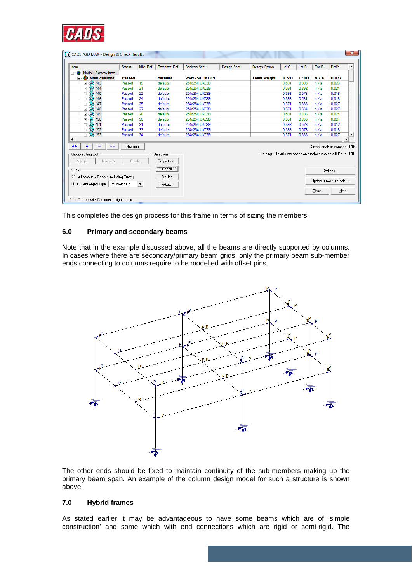

| Item                                                                        | <b>Status</b> | Mbr. Ref.                | Template Ref. | Analysis Sect. | Design Sect. | <b>Design Option</b>                                         | Ld C  | Lat $B$ | Tor B | Defl'n                         |
|-----------------------------------------------------------------------------|---------------|--------------------------|---------------|----------------|--------------|--------------------------------------------------------------|-------|---------|-------|--------------------------------|
| Model - 3 storey brac<br>Fŀ<br>G                                            |               |                          |               |                |              |                                                              |       |         |       |                                |
| æ.<br><b>Main columns</b><br>⊟                                              | Passed        |                          | defaults      | 254x254 UKC89  |              | Least weight                                                 | 0.591 | 0.903   | n/a   | 0.027                          |
| $*43$<br>Ė<br>w.                                                            | Passed        | 19                       | defaults      | 254x254 UKC89  |              |                                                              | 0.591 | 0.903   | n/a   | 0.026                          |
| 44<br>由                                                                     | Passed        | 21                       | defaults      | 254x254 UKC89  |              |                                                              | 0.591 | 0.892   | n/a   | 0.024                          |
| $*45$<br>由                                                                  | Passed        | 22                       | defaults      | 254x254 UKC89  |              |                                                              | 0.386 | 0.573   | n/a   | 0.016                          |
| $*46$<br>Ė                                                                  | Passed        | 24                       | defaults      | 254x254 UKC89  |              |                                                              | 0.386 | 0.581   | n/a   | 0.018                          |
| 47<br>由                                                                     | Passed        | 25                       | defaults      | 254x254 UKC89  |              |                                                              | 0.371 | 0.383   | n/a   | 0.027                          |
| $*48$<br>Ė                                                                  | Passed        | 27                       | defaults      | 254x254 UKC89  |              |                                                              | 0.371 | 0.384   | n/a   | 0.027                          |
| $-49$<br>审                                                                  | Passed        | 28                       | defaults      | 254x254 UKC89  |              |                                                              | 0.591 | 0.896   | n/a   | 0.024                          |
| 50<br>Ė                                                                     | Passed        | 30                       | defaults      | 254x254 UKC89  |              |                                                              | 0.591 | 0.899   | n/a   | 0.024                          |
| 51<br>Ė                                                                     | Passed        | 31                       | defaults      | 254x254 UKC89  |              |                                                              | 0.386 | 0.578   | n/a   | 0.017                          |
| *52<br>Ė                                                                    | Passed        | 33                       | defaults      | 254x254 UKC89  |              |                                                              | 0.386 | 0.576   | n/a   | 0.016                          |
| *53<br>中<br>-2<br>$\left  \cdot \right $                                    | Passed        | 34                       | defaults      | 254x254 UKC89  |              |                                                              | 0.371 | 0.383   | n/a   | 0.027<br>$\blacktriangleright$ |
| $+ +$<br>٠<br>--<br>Group editing tools                                     | Highlight     |                          | Selection     |                |              | Warning - Results are based on Analysis numbers 0015 to 0016 |       |         |       | Current analysis number: 0016  |
| Move to<br>Merge                                                            | Break         |                          | Properties    |                |              |                                                              |       |         |       |                                |
| Show                                                                        |               |                          | <b>Check</b>  |                |              |                                                              |       |         |       | Settings                       |
| All objects / Report (including Errors)<br>⊙ Current object type SW members |               | $\vert \mathbf{v} \vert$ | Design        |                |              |                                                              |       |         |       | Update Analysis Model          |
|                                                                             |               |                          | Details       |                |              |                                                              |       |         |       |                                |

This completes the design process for this frame in terms of sizing the members.

# **6.0 Primary and secondary beams**

Note that in the example discussed above, all the beams are directly supported by columns. In cases where there are secondary/primary beam grids, only the primary beam sub-member ends connecting to columns require to be modelled with offset pins.



The other ends should be fixed to maintain continuity of the sub-members making up the primary beam span. An example of the column design model for such a structure is shown above.

## **7.0 Hybrid frames**

As stated earlier it may be advantageous to have some beams which are of 'simple construction' and some which with end connections which are rigid or semi-rigid. The